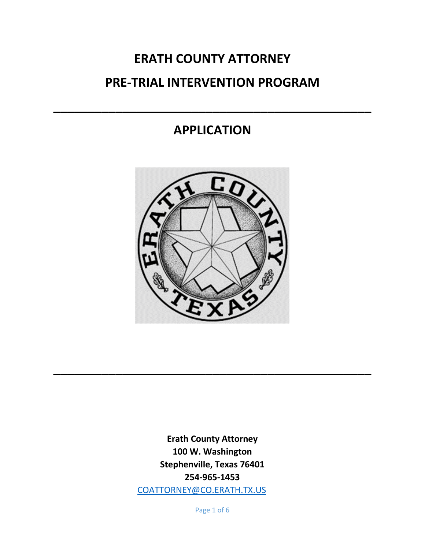# **ERATH COUNTY ATTORNEY PRE-TRIAL INTERVENTION PROGRAM**

# **APPLICATION**

**\_\_\_\_\_\_\_\_\_\_\_\_\_\_\_\_\_\_\_\_\_\_\_\_\_\_\_\_\_\_\_\_\_\_\_\_\_\_\_\_\_\_\_\_\_\_**



**\_\_\_\_\_\_\_\_\_\_\_\_\_\_\_\_\_\_\_\_\_\_\_\_\_\_\_\_\_\_\_\_\_\_\_\_\_\_\_\_\_\_\_\_\_\_**

**Erath County Attorney 100 W. Washington Stephenville, Texas 76401 254-965-1453** [COATTORNEY@CO.ERATH.TX.US](mailto:COATTORNEY@CO.ERATH.TX.US)

Page 1 of 6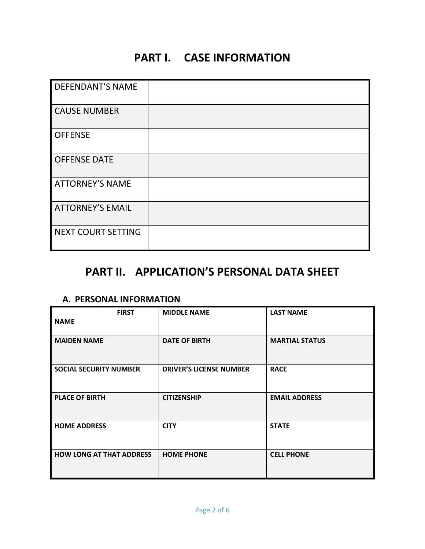# **PART I. CASE INFORMATION**

| <b>DEFENDANT'S NAME</b>   |  |
|---------------------------|--|
| <b>CAUSE NUMBER</b>       |  |
| <b>OFFENSE</b>            |  |
| <b>OFFENSE DATE</b>       |  |
| <b>ATTORNEY'S NAME</b>    |  |
| <b>ATTORNEY'S EMAIL</b>   |  |
| <b>NEXT COURT SETTING</b> |  |

## **PART II. APPLICATION'S PERSONAL DATA SHEET**

#### **A. PERSONAL INFORMATION**

| <b>FIRST</b>                    | <b>MIDDLE NAME</b>             | <b>LAST NAME</b>      |
|---------------------------------|--------------------------------|-----------------------|
| <b>NAME</b>                     |                                |                       |
| <b>MAIDEN NAME</b>              | <b>DATE OF BIRTH</b>           | <b>MARTIAL STATUS</b> |
| <b>SOCIAL SECURITY NUMBER</b>   | <b>DRIVER'S LICENSE NUMBER</b> | <b>RACE</b>           |
| <b>PLACE OF BIRTH</b>           | <b>CITIZENSHIP</b>             | <b>EMAIL ADDRESS</b>  |
| <b>HOME ADDRESS</b>             | <b>CITY</b>                    | <b>STATE</b>          |
| <b>HOW LONG AT THAT ADDRESS</b> | <b>HOME PHONE</b>              | <b>CELL PHONE</b>     |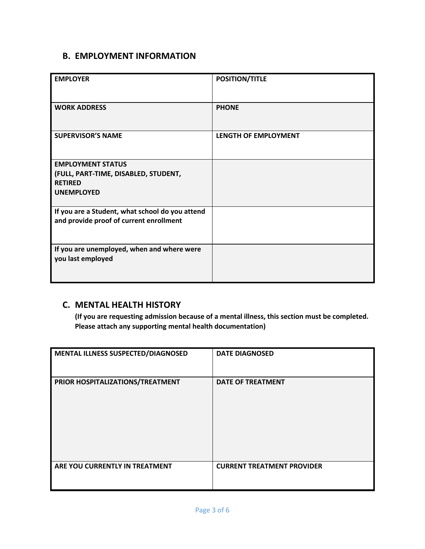#### **B. EMPLOYMENT INFORMATION**

| <b>EMPLOYER</b>                                                                            | <b>POSITION/TITLE</b>       |
|--------------------------------------------------------------------------------------------|-----------------------------|
| <b>WORK ADDRESS</b>                                                                        | <b>PHONE</b>                |
| <b>SUPERVISOR'S NAME</b>                                                                   | <b>LENGTH OF EMPLOYMENT</b> |
| <b>EMPLOYMENT STATUS</b>                                                                   |                             |
| (FULL, PART-TIME, DISABLED, STUDENT,                                                       |                             |
| <b>RETIRED</b>                                                                             |                             |
| <b>UNEMPLOYED</b>                                                                          |                             |
| If you are a Student, what school do you attend<br>and provide proof of current enrollment |                             |
| If you are unemployed, when and where were<br>you last employed                            |                             |

#### **C. MENTAL HEALTH HISTORY**

**(If you are requesting admission because of a mental illness, this section must be completed. Please attach any supporting mental health documentation)**

| MENTAL ILLNESS SUSPECTED/DIAGNOSED | <b>DATE DIAGNOSED</b>             |
|------------------------------------|-----------------------------------|
| PRIOR HOSPITALIZATIONS/TREATMENT   | <b>DATE OF TREATMENT</b>          |
| ARE YOU CURRENTLY IN TREATMENT     | <b>CURRENT TREATMENT PROVIDER</b> |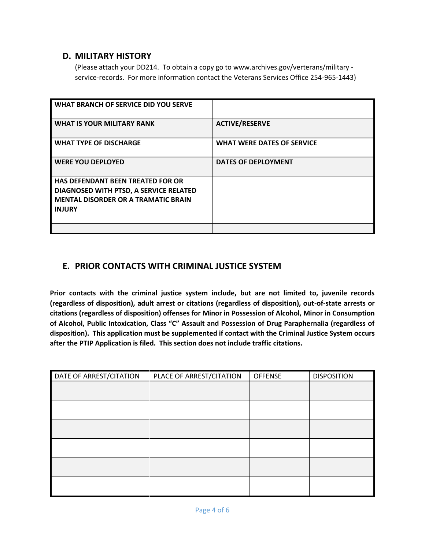#### **D. MILITARY HISTORY**

(Please attach your DD214. To obtain a copy go to www.archives.gov/verterans/military service-records. For more information contact the Veterans Services Office 254-965-1443)

| WHAT BRANCH OF SERVICE DID YOU SERVE                                                                                                              |                                   |
|---------------------------------------------------------------------------------------------------------------------------------------------------|-----------------------------------|
| <b>WHAT IS YOUR MILITARY RANK</b>                                                                                                                 | <b>ACTIVE/RESERVE</b>             |
| <b>WHAT TYPE OF DISCHARGE</b>                                                                                                                     | <b>WHAT WERE DATES OF SERVICE</b> |
| <b>WERE YOU DEPLOYED</b>                                                                                                                          | <b>DATES OF DEPLOYMENT</b>        |
| <b>HAS DEFENDANT BEEN TREATED FOR OR</b><br>DIAGNOSED WITH PTSD, A SERVICE RELATED<br><b>MENTAL DISORDER OR A TRAMATIC BRAIN</b><br><b>INJURY</b> |                                   |
|                                                                                                                                                   |                                   |

#### **E. PRIOR CONTACTS WITH CRIMINAL JUSTICE SYSTEM**

**Prior contacts with the criminal justice system include, but are not limited to, juvenile records (regardless of disposition), adult arrest or citations (regardless of disposition), out-of-state arrests or citations (regardless of disposition) offenses for Minor in Possession of Alcohol, Minor in Consumption of Alcohol, Public Intoxication, Class "C" Assault and Possession of Drug Paraphernalia (regardless of disposition). This application must be supplemented if contact with the Criminal Justice System occurs after the PTIP Application is filed. This section does not include traffic citations.** 

| DATE OF ARREST/CITATION | PLACE OF ARREST/CITATION | <b>OFFENSE</b> | <b>DISPOSITION</b> |
|-------------------------|--------------------------|----------------|--------------------|
|                         |                          |                |                    |
|                         |                          |                |                    |
|                         |                          |                |                    |
|                         |                          |                |                    |
|                         |                          |                |                    |
|                         |                          |                |                    |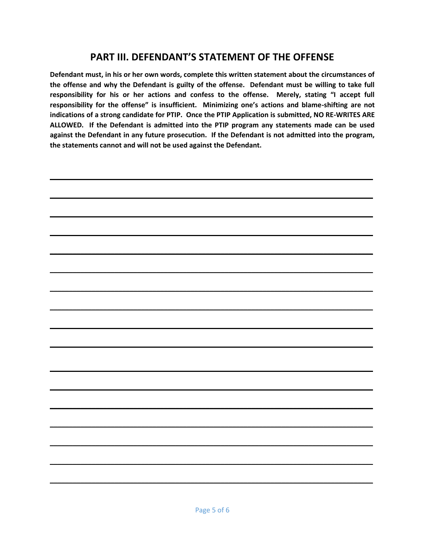### **PART III. DEFENDANT'S STATEMENT OF THE OFFENSE**

**Defendant must, in his or her own words, complete this written statement about the circumstances of the offense and why the Defendant is guilty of the offense. Defendant must be willing to take full responsibility for his or her actions and confess to the offense. Merely, stating "I accept full responsibility for the offense" is insufficient. Minimizing one's actions and blame-shifting are not indications of a strong candidate for PTIP. Once the PTIP Application is submitted, NO RE-WRITES ARE ALLOWED. If the Defendant is admitted into the PTIP program any statements made can be used against the Defendant in any future prosecution. If the Defendant is not admitted into the program, the statements cannot and will not be used against the Defendant.**